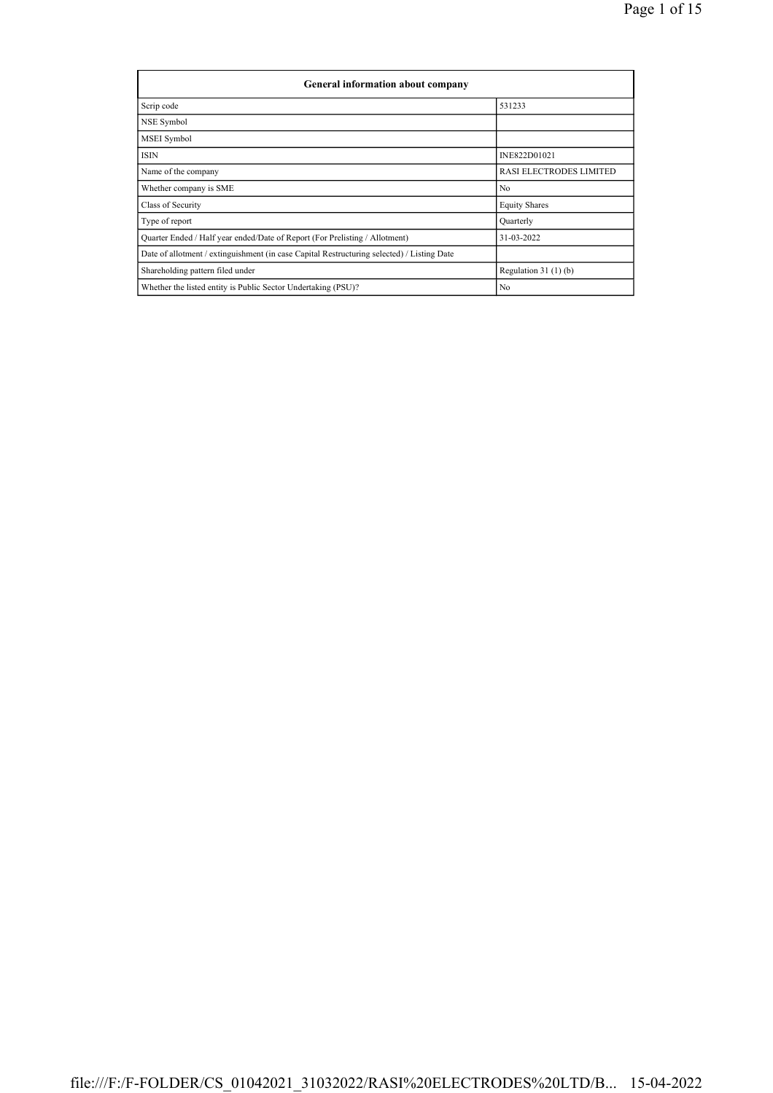| General information about company                                                          |                                |
|--------------------------------------------------------------------------------------------|--------------------------------|
| Scrip code                                                                                 | 531233                         |
| NSE Symbol                                                                                 |                                |
| MSEI Symbol                                                                                |                                |
| <b>ISIN</b>                                                                                | INE822D01021                   |
| Name of the company                                                                        | <b>RASI ELECTRODES LIMITED</b> |
| Whether company is SME                                                                     | N <sub>0</sub>                 |
| Class of Security                                                                          | <b>Equity Shares</b>           |
| Type of report                                                                             | Quarterly                      |
| Quarter Ended / Half year ended/Date of Report (For Prelisting / Allotment)                | 31-03-2022                     |
| Date of allotment / extinguishment (in case Capital Restructuring selected) / Listing Date |                                |
| Shareholding pattern filed under                                                           | Regulation $31(1)(b)$          |
| Whether the listed entity is Public Sector Undertaking (PSU)?                              | No                             |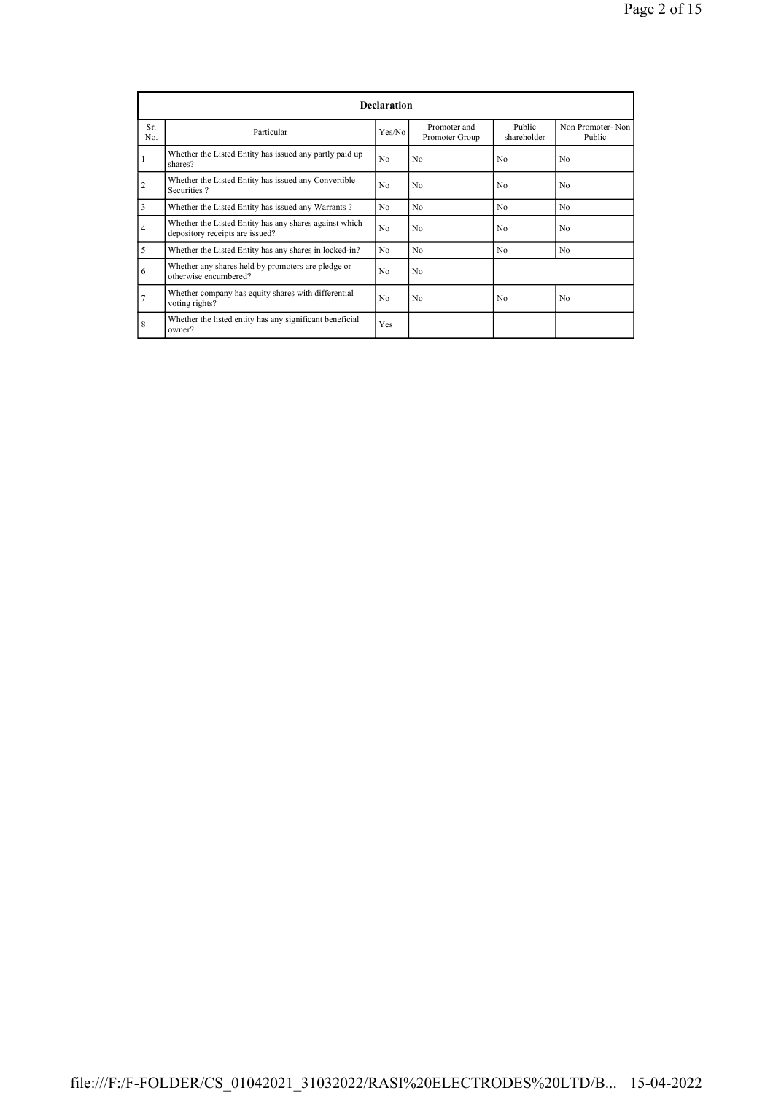|           |                                                                                           | <b>Declaration</b> |                                |                       |                            |
|-----------|-------------------------------------------------------------------------------------------|--------------------|--------------------------------|-----------------------|----------------------------|
| Sr<br>No. | Particular                                                                                | Yes/No             | Promoter and<br>Promoter Group | Public<br>shareholder | Non Promoter-Non<br>Public |
|           | Whether the Listed Entity has issued any partly paid up<br>shares?                        | N <sub>0</sub>     | N <sub>0</sub>                 | N <sub>0</sub>        | N <sub>0</sub>             |
| 2         | Whether the Listed Entity has issued any Convertible<br>Securities?                       | N <sub>0</sub>     | N <sub>0</sub>                 | N <sub>0</sub>        | N <sub>0</sub>             |
| 3         | Whether the Listed Entity has issued any Warrants?                                        | N <sub>0</sub>     | No                             | N <sub>0</sub>        | N <sub>0</sub>             |
| 4         | Whether the Listed Entity has any shares against which<br>depository receipts are issued? | N <sub>0</sub>     | No                             | N <sub>0</sub>        | N <sub>0</sub>             |
| 5         | Whether the Listed Entity has any shares in locked-in?                                    | N <sub>0</sub>     | No                             | N <sub>0</sub>        | N <sub>0</sub>             |
| 6         | Whether any shares held by promoters are pledge or<br>otherwise encumbered?               | N <sub>0</sub>     | No                             |                       |                            |
|           | Whether company has equity shares with differential<br>voting rights?                     | N <sub>0</sub>     | No                             | No                    | N <sub>0</sub>             |
| 8         | Whether the listed entity has any significant beneficial<br>owner?                        | Yes                |                                |                       |                            |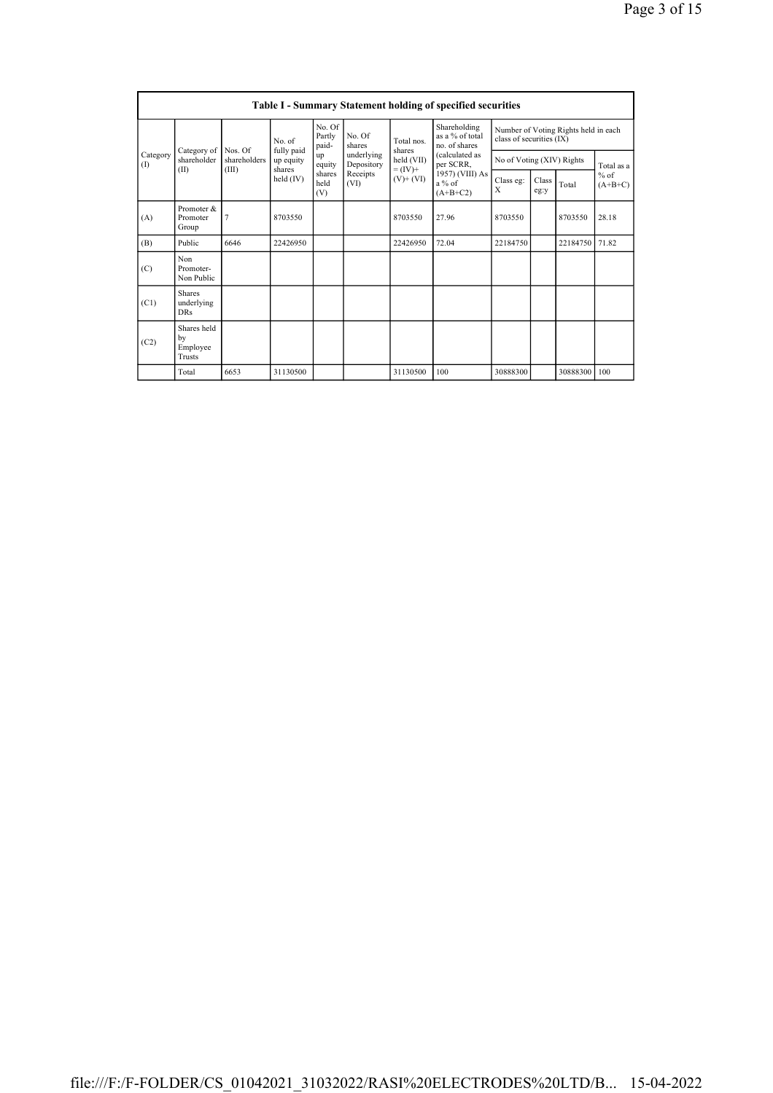|                                                        |                                                                                                                     |                                           |                         |                           |                          |                      | <b>Table I - Summary Statement holding of specified securities</b>              |                                                                  |  |              |            |
|--------------------------------------------------------|---------------------------------------------------------------------------------------------------------------------|-------------------------------------------|-------------------------|---------------------------|--------------------------|----------------------|---------------------------------------------------------------------------------|------------------------------------------------------------------|--|--------------|------------|
| Category of<br>Category<br>shareholder<br>$($ $\Gamma$ |                                                                                                                     |                                           | No. of                  | No. Of<br>Partly<br>paid- | No Of<br>shares          | Total nos            | Shareholding<br>as a % of total<br>no. of shares<br>(calculated as<br>per SCRR, | Number of Voting Rights held in each<br>class of securities (IX) |  |              |            |
|                                                        |                                                                                                                     | Nos. Of<br>shareholders                   | fully paid<br>up equity | up<br>equity              | underlying<br>Depository | shares<br>held (VII) |                                                                                 | No of Voting (XIV) Rights                                        |  |              | Total as a |
|                                                        | shares<br>$= (IV) +$<br>(II)<br>(III)<br>shares<br>Receipts<br>held $(IV)$<br>$(V)$ + $(VI)$<br>held<br>(VI)<br>(V) | 1957) (VIII) As<br>$a\%$ of<br>$(A+B+C2)$ | Class eg:<br>X          | Class<br>eg:y             | Total                    | $%$ of<br>$(A+B+C)$  |                                                                                 |                                                                  |  |              |            |
| (A)                                                    | Promoter &<br>Promoter<br>Group                                                                                     | $\overline{7}$                            | 8703550                 |                           |                          | 8703550              | 27.96                                                                           | 8703550                                                          |  | 8703550      | 28.18      |
| (B)                                                    | Public                                                                                                              | 6646                                      | 22426950                |                           |                          | 22426950             | 72.04                                                                           | 22184750                                                         |  | 22184750     | 71.82      |
| (C)                                                    | Non<br>Promoter-<br>Non Public                                                                                      |                                           |                         |                           |                          |                      |                                                                                 |                                                                  |  |              |            |
| (C1)                                                   | <b>Shares</b><br>underlying<br>DR <sub>S</sub>                                                                      |                                           |                         |                           |                          |                      |                                                                                 |                                                                  |  |              |            |
| (C2)                                                   | Shares held<br>by<br>Employee<br>Trusts                                                                             |                                           |                         |                           |                          |                      |                                                                                 |                                                                  |  |              |            |
|                                                        | Total                                                                                                               | 6653                                      | 31130500                |                           |                          | 31130500             | 100                                                                             | 30888300                                                         |  | 30888300 100 |            |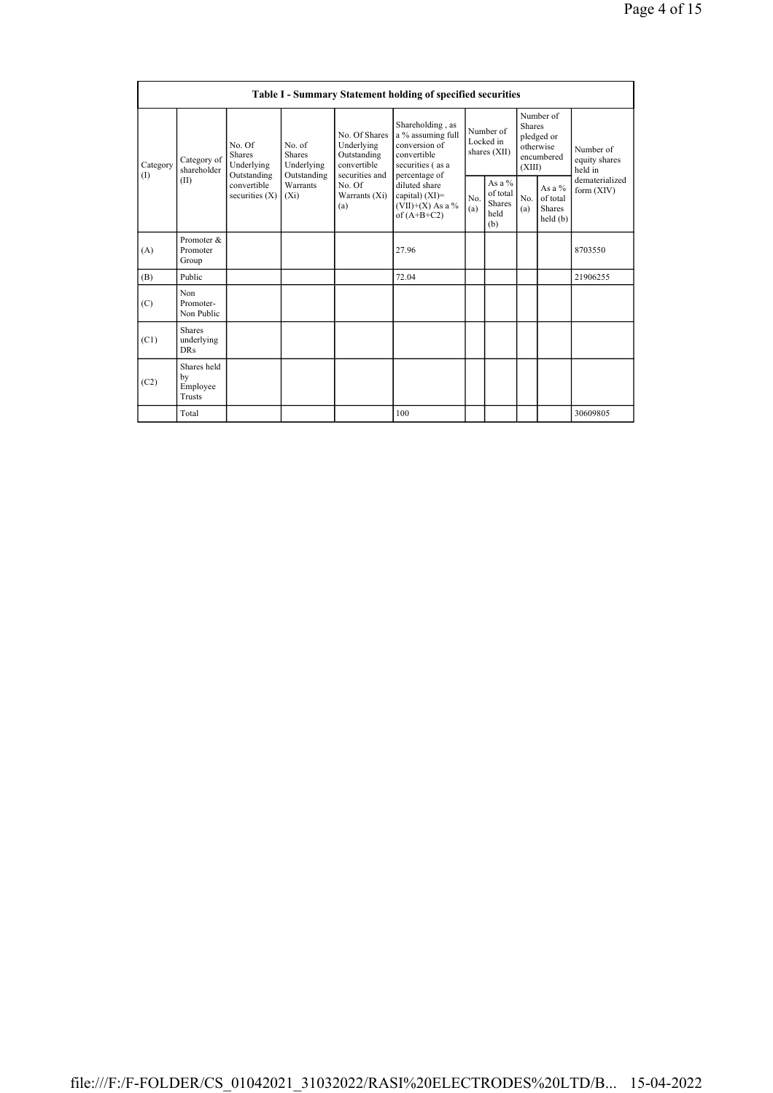|                                                                                                                                                                                                                                                                                                               | <b>Table I - Summary Statement holding of specified securities</b>        |                       |                                               |                                 |                                                                                                            |                                        |  |                                                                               |  |                                       |
|---------------------------------------------------------------------------------------------------------------------------------------------------------------------------------------------------------------------------------------------------------------------------------------------------------------|---------------------------------------------------------------------------|-----------------------|-----------------------------------------------|---------------------------------|------------------------------------------------------------------------------------------------------------|----------------------------------------|--|-------------------------------------------------------------------------------|--|---------------------------------------|
| No. Of<br>No. of<br>Underlying<br><b>Shares</b><br>Outstanding<br><b>Shares</b><br>Category of<br>convertible<br>Underlying<br>Underlying<br>Category<br>shareholder<br>(1)<br>Outstanding<br>Outstanding<br>(II)<br>Warrants<br>convertible<br>No. Of<br>securities $(X)$<br>$(X_i)$<br>Warrants (Xi)<br>(a) |                                                                           |                       |                                               | No. Of Shares<br>securities and | Shareholding, as<br>a % assuming full<br>conversion of<br>convertible<br>securities (as a<br>percentage of | Number of<br>Locked in<br>shares (XII) |  | Number of<br><b>Shares</b><br>pledged or<br>otherwise<br>encumbered<br>(XIII) |  | Number of<br>equity shares<br>held in |
|                                                                                                                                                                                                                                                                                                               | diluted share<br>capital) $(XI)$ =<br>$(VII)+(X)$ As a %<br>of $(A+B+C2)$ | N <sub>0</sub><br>(a) | As a $%$<br>of total<br>Shares<br>held<br>(b) | N <sub>0</sub><br>(a)           | As a $%$<br>of total<br>Shares<br>held (b)                                                                 | dematerialized<br>form $(XIV)$         |  |                                                                               |  |                                       |
| (A)                                                                                                                                                                                                                                                                                                           | Promoter &<br>Promoter<br>Group                                           |                       |                                               |                                 | 27.96                                                                                                      |                                        |  |                                                                               |  | 8703550                               |
| (B)                                                                                                                                                                                                                                                                                                           | Public                                                                    |                       |                                               |                                 | 72.04                                                                                                      |                                        |  |                                                                               |  | 21906255                              |
| (C)                                                                                                                                                                                                                                                                                                           | Non<br>Promoter-<br>Non Public                                            |                       |                                               |                                 |                                                                                                            |                                        |  |                                                                               |  |                                       |
| (C1)                                                                                                                                                                                                                                                                                                          | <b>Shares</b><br>underlying<br><b>DRs</b>                                 |                       |                                               |                                 |                                                                                                            |                                        |  |                                                                               |  |                                       |
| (C2)                                                                                                                                                                                                                                                                                                          | Shares held<br>by<br>Employee<br>Trusts                                   |                       |                                               |                                 |                                                                                                            |                                        |  |                                                                               |  |                                       |
|                                                                                                                                                                                                                                                                                                               | Total                                                                     |                       |                                               |                                 | 100                                                                                                        |                                        |  |                                                                               |  | 30609805                              |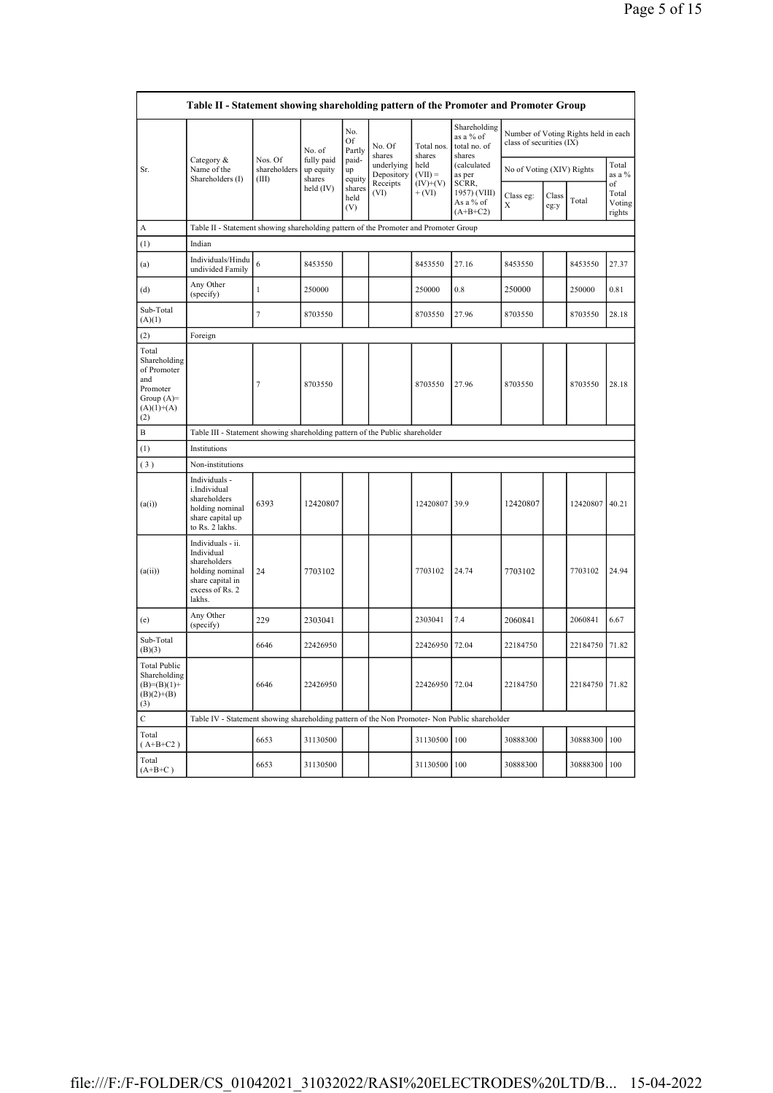|                                                                                                | Table II - Statement showing shareholding pattern of the Promoter and Promoter Group                                |                                  |                                   |                       |                          |                        |                                                                           |                           |                                                                  |                |                                 |
|------------------------------------------------------------------------------------------------|---------------------------------------------------------------------------------------------------------------------|----------------------------------|-----------------------------------|-----------------------|--------------------------|------------------------|---------------------------------------------------------------------------|---------------------------|------------------------------------------------------------------|----------------|---------------------------------|
|                                                                                                |                                                                                                                     |                                  | No. of                            | No.<br>Of<br>Partly   | No. Of<br>shares         | Total nos.<br>shares   | Shareholding<br>as a % of<br>total no. of<br>shares                       |                           | Number of Voting Rights held in each<br>class of securities (IX) |                |                                 |
| Sr.                                                                                            | Category &<br>Name of the<br>Shareholders (I)                                                                       | Nos. Of<br>shareholders<br>(III) | fully paid<br>up equity<br>shares | paid-<br>up<br>equity | underlying<br>Depository | held<br>$(VII) =$      | (calculated<br>as per<br>SCRR,<br>1957) (VIII)<br>As a % of<br>$(A+B+C2)$ | No of Voting (XIV) Rights |                                                                  |                | Total<br>as a %                 |
|                                                                                                |                                                                                                                     |                                  | held (IV)                         | shares<br>held<br>(V) | Receipts<br>(VI)         | $(IV)+(V)$<br>$+ (VI)$ |                                                                           | Class eg:<br>X            | Class<br>eg:y                                                    | Total          | of<br>Total<br>Voting<br>rights |
| А                                                                                              | Table II - Statement showing shareholding pattern of the Promoter and Promoter Group                                |                                  |                                   |                       |                          |                        |                                                                           |                           |                                                                  |                |                                 |
| (1)                                                                                            | Indian                                                                                                              |                                  |                                   |                       |                          |                        |                                                                           |                           |                                                                  |                |                                 |
| (a)                                                                                            | Individuals/Hindu<br>undivided Family                                                                               | 6                                | 8453550                           |                       |                          | 8453550                | 27.16                                                                     | 8453550                   |                                                                  | 8453550        | 27.37                           |
| (d)                                                                                            | Any Other<br>(specify)                                                                                              | 1                                | 250000                            |                       |                          | 250000                 | 0.8                                                                       | 250000                    |                                                                  | 250000         | 0.81                            |
| Sub-Total<br>(A)(1)                                                                            |                                                                                                                     | 7                                | 8703550                           |                       |                          | 8703550                | 27.96                                                                     | 8703550                   |                                                                  | 8703550        | 28.18                           |
| (2)                                                                                            | Foreign                                                                                                             |                                  |                                   |                       |                          |                        |                                                                           |                           |                                                                  |                |                                 |
| Total<br>Shareholding<br>of Promoter<br>and<br>Promoter<br>Group $(A)=$<br>$(A)(1)+(A)$<br>(2) |                                                                                                                     | 7                                | 8703550                           |                       |                          | 8703550                | 27.96                                                                     | 8703550                   |                                                                  | 8703550        | 28.18                           |
| B                                                                                              | Table III - Statement showing shareholding pattern of the Public shareholder                                        |                                  |                                   |                       |                          |                        |                                                                           |                           |                                                                  |                |                                 |
| (1)                                                                                            | Institutions                                                                                                        |                                  |                                   |                       |                          |                        |                                                                           |                           |                                                                  |                |                                 |
| (3)                                                                                            | Non-institutions                                                                                                    |                                  |                                   |                       |                          |                        |                                                                           |                           |                                                                  |                |                                 |
| (a(i))                                                                                         | Individuals -<br>i.Individual<br>shareholders<br>holding nominal<br>share capital up<br>to Rs. 2 lakhs.             | 6393                             | 12420807                          |                       |                          | 12420807 39.9          |                                                                           | 12420807                  |                                                                  | 12420807 40.21 |                                 |
| (a(ii))                                                                                        | Individuals - ii.<br>Individual<br>shareholders<br>holding nominal<br>share capital in<br>excess of Rs. 2<br>lakhs. | 24                               | 7703102                           |                       |                          | 7703102                | 24.74                                                                     | 7703102                   |                                                                  | 7703102        | 24.94                           |
| (e)                                                                                            | Any Other<br>(specify)                                                                                              | 229                              | 2303041                           |                       |                          | 2303041                | 7.4                                                                       | 2060841                   |                                                                  | 2060841        | 6.67                            |
| Sub-Total<br>(B)(3)                                                                            |                                                                                                                     | 6646                             | 22426950                          |                       |                          | 22426950               | 72.04                                                                     | 22184750                  |                                                                  | 22184750       | 71.82                           |
| <b>Total Public</b><br>Shareholding<br>$(B)=(B)(1)+$<br>$(B)(2)+(B)$<br>(3)                    |                                                                                                                     | 6646                             | 22426950                          |                       |                          | 22426950 72.04         |                                                                           | 22184750                  |                                                                  | 22184750       | 71.82                           |
| $\mathbf C$                                                                                    | Table IV - Statement showing shareholding pattern of the Non Promoter- Non Public shareholder                       |                                  |                                   |                       |                          |                        |                                                                           |                           |                                                                  |                |                                 |
| Total<br>$(A+B+C2)$                                                                            |                                                                                                                     | 6653                             | 31130500                          |                       |                          | 31130500               | 100                                                                       | 30888300                  |                                                                  | 30888300       | 100                             |
| Total<br>$(A+B+C)$                                                                             |                                                                                                                     | 6653                             | 31130500                          |                       |                          | 31130500               | 100                                                                       | 30888300                  |                                                                  | 30888300       | 100                             |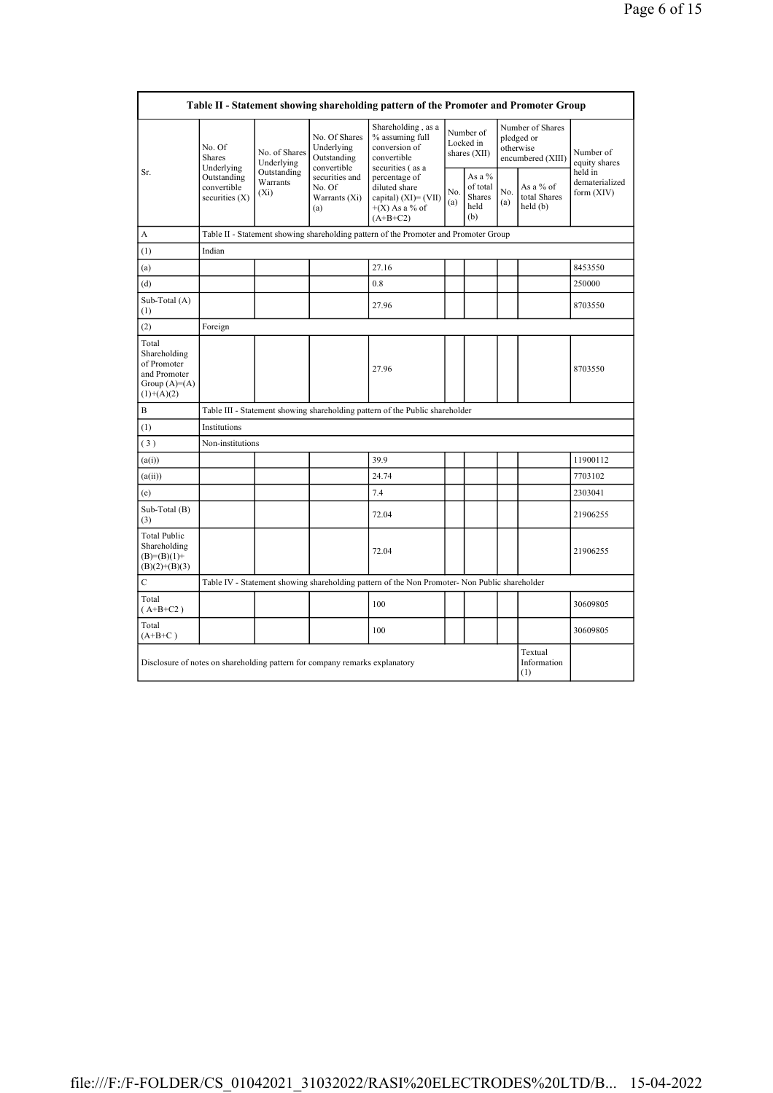|                                                                                          |                                                |                                    |                                                                             | Table II - Statement showing shareholding pattern of the Promoter and Promoter Group          |                                          |                                                    |                                                                  |                                                        |                                         |
|------------------------------------------------------------------------------------------|------------------------------------------------|------------------------------------|-----------------------------------------------------------------------------|-----------------------------------------------------------------------------------------------|------------------------------------------|----------------------------------------------------|------------------------------------------------------------------|--------------------------------------------------------|-----------------------------------------|
|                                                                                          | No. Of<br><b>Shares</b><br>Underlying          | No. of Shares<br>Underlying        | No. Of Shares<br>Underlying<br>Outstanding<br>convertible                   | Shareholding, as a<br>% assuming full<br>conversion of<br>convertible<br>securities (as a     | Number of<br>Locked in<br>shares $(XII)$ |                                                    | Number of Shares<br>pledged or<br>otherwise<br>encumbered (XIII) |                                                        | Number of<br>equity shares              |
| Sr.                                                                                      | Outstanding<br>convertible<br>securities $(X)$ | Outstanding<br>Warrants<br>$(X_i)$ | securities and<br>No. Of<br>Warrants (Xi)<br>(a)                            | percentage of<br>diluted share<br>capital) $(XI) = (VII)$<br>$+(X)$ As a % of<br>$(A+B+C2)$   | No.<br>(a)                               | As a %<br>of total<br><b>Shares</b><br>held<br>(b) | No.<br>(a)                                                       | As a $%$ of<br>total Shares<br>$\text{held}(\text{b})$ | held in<br>dematerialized<br>form (XIV) |
| A                                                                                        |                                                |                                    |                                                                             | Table II - Statement showing shareholding pattern of the Promoter and Promoter Group          |                                          |                                                    |                                                                  |                                                        |                                         |
| (1)                                                                                      | Indian                                         |                                    |                                                                             |                                                                                               |                                          |                                                    |                                                                  |                                                        |                                         |
| (a)                                                                                      |                                                |                                    |                                                                             | 27.16                                                                                         |                                          |                                                    |                                                                  |                                                        | 8453550                                 |
| (d)                                                                                      |                                                |                                    |                                                                             | 0.8                                                                                           |                                          |                                                    |                                                                  |                                                        | 250000                                  |
| Sub-Total (A)<br>(1)                                                                     |                                                |                                    |                                                                             | 27.96                                                                                         |                                          |                                                    |                                                                  |                                                        | 8703550                                 |
| (2)                                                                                      | Foreign                                        |                                    |                                                                             |                                                                                               |                                          |                                                    |                                                                  |                                                        |                                         |
| Total<br>Shareholding<br>of Promoter<br>and Promoter<br>Group $(A)= (A)$<br>$(1)+(A)(2)$ |                                                |                                    |                                                                             | 27.96                                                                                         |                                          |                                                    |                                                                  |                                                        | 8703550                                 |
| B                                                                                        |                                                |                                    |                                                                             | Table III - Statement showing shareholding pattern of the Public shareholder                  |                                          |                                                    |                                                                  |                                                        |                                         |
| (1)                                                                                      | Institutions                                   |                                    |                                                                             |                                                                                               |                                          |                                                    |                                                                  |                                                        |                                         |
| (3)                                                                                      | Non-institutions                               |                                    |                                                                             |                                                                                               |                                          |                                                    |                                                                  |                                                        |                                         |
| (a(i))                                                                                   |                                                |                                    |                                                                             | 39.9                                                                                          |                                          |                                                    |                                                                  |                                                        | 11900112                                |
| (a(ii))                                                                                  |                                                |                                    |                                                                             | 24.74                                                                                         |                                          |                                                    |                                                                  |                                                        | 7703102                                 |
| (e)                                                                                      |                                                |                                    |                                                                             | 7.4                                                                                           |                                          |                                                    |                                                                  |                                                        | 2303041                                 |
| Sub-Total (B)<br>(3)                                                                     |                                                |                                    |                                                                             | 72.04                                                                                         |                                          |                                                    |                                                                  |                                                        | 21906255                                |
| <b>Total Public</b><br>Shareholding<br>$(B)=(B)(1)+$<br>$(B)(2)+(B)(3)$                  |                                                |                                    |                                                                             | 72.04                                                                                         |                                          |                                                    |                                                                  |                                                        | 21906255                                |
| C                                                                                        |                                                |                                    |                                                                             | Table IV - Statement showing shareholding pattern of the Non Promoter- Non Public shareholder |                                          |                                                    |                                                                  |                                                        |                                         |
| Total<br>$(A+B+C2)$                                                                      |                                                |                                    |                                                                             | 100                                                                                           |                                          |                                                    |                                                                  |                                                        | 30609805                                |
| Total<br>$(A+B+C)$                                                                       |                                                |                                    |                                                                             | 100                                                                                           |                                          |                                                    |                                                                  |                                                        | 30609805                                |
|                                                                                          |                                                |                                    | Disclosure of notes on shareholding pattern for company remarks explanatory |                                                                                               |                                          |                                                    |                                                                  | Textual<br>Information<br>(1)                          |                                         |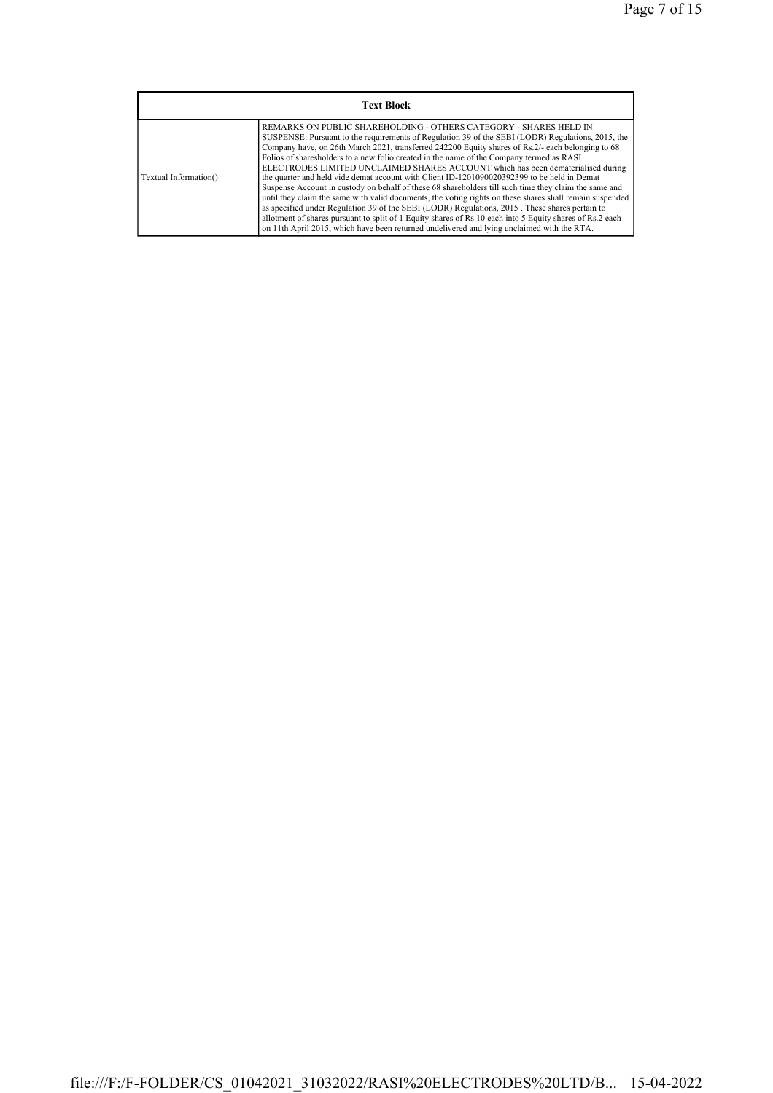|                       | <b>Text Block</b>                                                                                                                                                                                                                                                                                                                                                                                                                                                                                                                                                                                                                                                                                                                                                                                                                                                                                                                                                                                                                                                                           |
|-----------------------|---------------------------------------------------------------------------------------------------------------------------------------------------------------------------------------------------------------------------------------------------------------------------------------------------------------------------------------------------------------------------------------------------------------------------------------------------------------------------------------------------------------------------------------------------------------------------------------------------------------------------------------------------------------------------------------------------------------------------------------------------------------------------------------------------------------------------------------------------------------------------------------------------------------------------------------------------------------------------------------------------------------------------------------------------------------------------------------------|
| Textual Information() | REMARKS ON PUBLIC SHAREHOLDING - OTHERS CATEGORY - SHARES HELD IN<br>SUSPENSE: Pursuant to the requirements of Regulation 39 of the SEBI (LODR) Regulations, 2015, the<br>Company have, on 26th March 2021, transferred 242200 Equity shares of Rs.2/- each belonging to 68<br>Folios of sharesholders to a new folio created in the name of the Company termed as RASI<br>ELECTRODES LIMITED UNCLAIMED SHARES ACCOUNT which has been dematerialised during<br>the quarter and held vide demat account with Client ID-1201090020392399 to be held in Demat<br>Suspense Account in custody on behalf of these 68 shareholders till such time they claim the same and<br>until they claim the same with valid documents, the voting rights on these shares shall remain suspended<br>as specified under Regulation 39 of the SEBI (LODR) Regulations, 2015. These shares pertain to<br>allotment of shares pursuant to split of 1 Equity shares of Rs.10 each into 5 Equity shares of Rs.2 each<br>on 11th April 2015, which have been returned undelivered and lying unclaimed with the RTA. |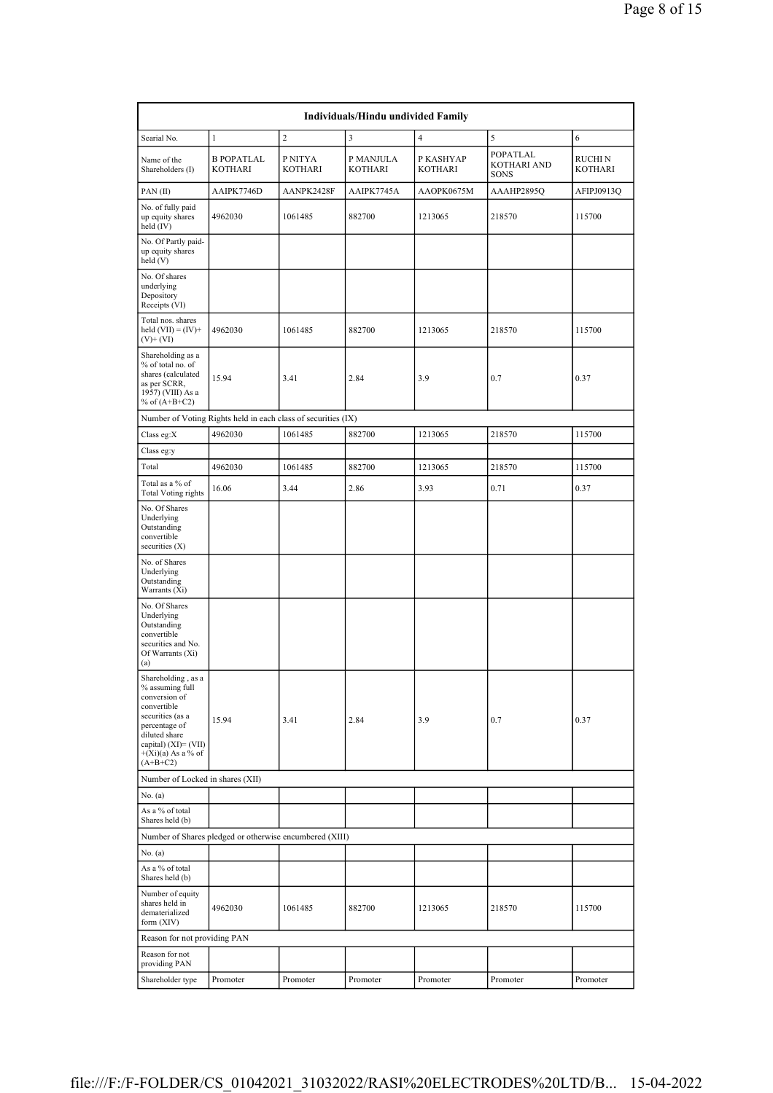|                                                                                                                                                                                               | Individuals/Hindu undivided Family                            |                    |                      |                      |                                        |                    |  |
|-----------------------------------------------------------------------------------------------------------------------------------------------------------------------------------------------|---------------------------------------------------------------|--------------------|----------------------|----------------------|----------------------------------------|--------------------|--|
| Searial No.                                                                                                                                                                                   | 1                                                             | $\overline{c}$     | 3                    | $\overline{4}$       | 5                                      | 6                  |  |
| Name of the<br>Shareholders (I)                                                                                                                                                               | <b>B POPATLAL</b><br>KOTHARI                                  | P NITYA<br>KOTHARI | P MANJULA<br>KOTHARI | P KASHYAP<br>KOTHARI | POPATLAL<br>KOTHARI AND<br><b>SONS</b> | RUCHI N<br>KOTHARI |  |
| PAN(II)                                                                                                                                                                                       | AAIPK7746D                                                    | AANPK2428F         | AAIPK7745A           | AAOPK0675M           | AAAHP2895Q                             | AFIPJ0913Q         |  |
| No. of fully paid<br>up equity shares<br>held (IV)                                                                                                                                            | 4962030                                                       | 1061485            | 882700               | 1213065              | 218570                                 | 115700             |  |
| No. Of Partly paid-<br>up equity shares<br>held(V)                                                                                                                                            |                                                               |                    |                      |                      |                                        |                    |  |
| No. Of shares<br>underlying<br>Depository<br>Receipts (VI)                                                                                                                                    |                                                               |                    |                      |                      |                                        |                    |  |
| Total nos. shares<br>held $(VII) = (IV) +$<br>$(V)+(VI)$                                                                                                                                      | 4962030                                                       | 1061485            | 882700               | 1213065              | 218570                                 | 115700             |  |
| Shareholding as a<br>% of total no. of<br>shares (calculated<br>as per SCRR,<br>1957) (VIII) As a<br>% of $(A+B+C2)$                                                                          | 15.94                                                         | 3.41               | 2.84                 | 3.9                  | 0.7                                    | 0.37               |  |
|                                                                                                                                                                                               | Number of Voting Rights held in each class of securities (IX) |                    |                      |                      |                                        |                    |  |
| Class eg:X                                                                                                                                                                                    | 4962030                                                       | 1061485            | 882700               | 1213065              | 218570                                 | 115700             |  |
| Class eg:y                                                                                                                                                                                    |                                                               |                    |                      |                      |                                        |                    |  |
| Total                                                                                                                                                                                         | 4962030                                                       | 1061485            | 882700               | 1213065              | 218570                                 | 115700             |  |
| Total as a % of<br><b>Total Voting rights</b>                                                                                                                                                 | 16.06                                                         | 3.44               | 2.86                 | 3.93                 | 0.71                                   | 0.37               |  |
| No. Of Shares<br>Underlying<br>Outstanding<br>convertible<br>securities $(X)$                                                                                                                 |                                                               |                    |                      |                      |                                        |                    |  |
| No. of Shares<br>Underlying<br>Outstanding<br>Warrants (Xi)                                                                                                                                   |                                                               |                    |                      |                      |                                        |                    |  |
| No. Of Shares<br>Underlying<br>Outstanding<br>convertible<br>securities and No.<br>Of Warrants (Xi)<br>(a)                                                                                    |                                                               |                    |                      |                      |                                        |                    |  |
| Shareholding , as a<br>% assuming full<br>conversion of<br>convertible<br>securities (as a<br>percentage of<br>diluted share<br>capital) $(XI) = (VII)$<br>$+(Xi)(a)$ As a % of<br>$(A+B+C2)$ | 15.94                                                         | 3.41               | 2.84                 | 3.9                  | 0.7                                    | 0.37               |  |
| Number of Locked in shares (XII)                                                                                                                                                              |                                                               |                    |                      |                      |                                        |                    |  |
| No. (a)<br>As a % of total<br>Shares held (b)                                                                                                                                                 |                                                               |                    |                      |                      |                                        |                    |  |
|                                                                                                                                                                                               | Number of Shares pledged or otherwise encumbered (XIII)       |                    |                      |                      |                                        |                    |  |
| No. (a)                                                                                                                                                                                       |                                                               |                    |                      |                      |                                        |                    |  |
| As a % of total<br>Shares held (b)                                                                                                                                                            |                                                               |                    |                      |                      |                                        |                    |  |
| Number of equity<br>shares held in<br>dematerialized<br>form (XIV)                                                                                                                            | 4962030                                                       | 1061485            | 882700               | 1213065              | 218570                                 | 115700             |  |
| Reason for not providing PAN                                                                                                                                                                  |                                                               |                    |                      |                      |                                        |                    |  |
| Reason for not<br>providing PAN                                                                                                                                                               |                                                               |                    |                      |                      |                                        |                    |  |
| Shareholder type                                                                                                                                                                              | Promoter                                                      | Promoter           | Promoter             | Promoter             | Promoter                               | Promoter           |  |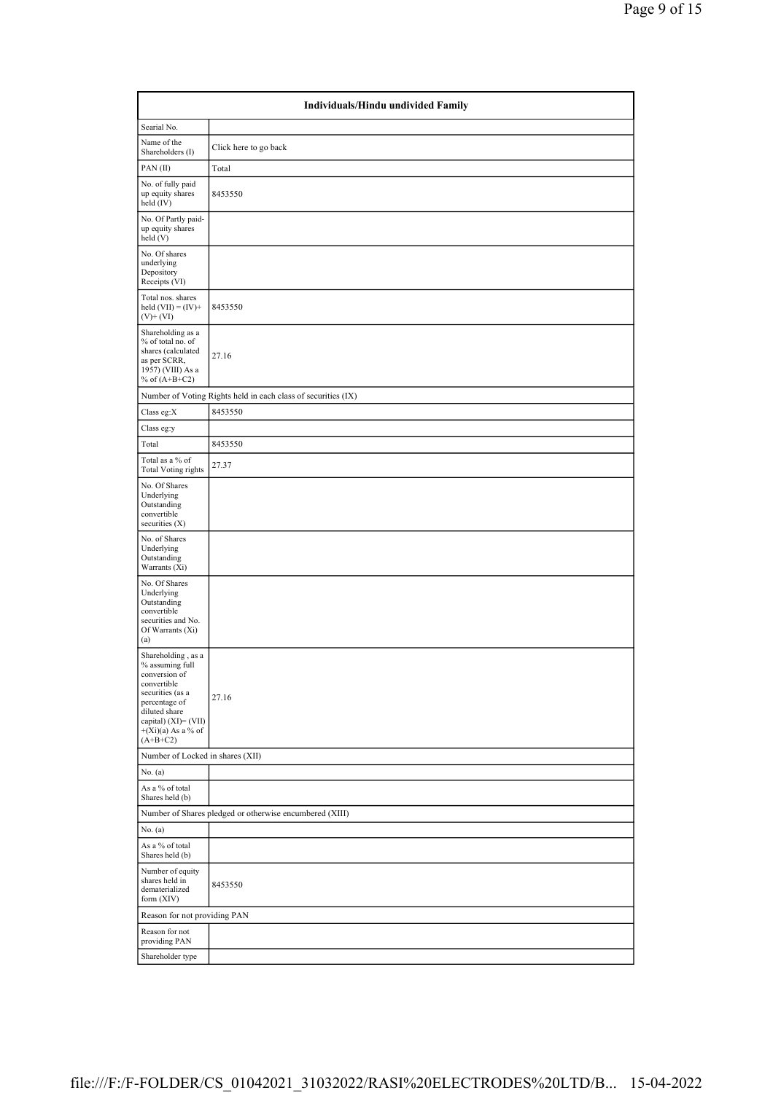|                                                                                                                                                                                              | Individuals/Hindu undivided Family                            |  |  |  |  |  |
|----------------------------------------------------------------------------------------------------------------------------------------------------------------------------------------------|---------------------------------------------------------------|--|--|--|--|--|
| Searial No.                                                                                                                                                                                  |                                                               |  |  |  |  |  |
| Name of the<br>Shareholders (I)                                                                                                                                                              | Click here to go back                                         |  |  |  |  |  |
| PAN(II)                                                                                                                                                                                      | Total                                                         |  |  |  |  |  |
| No. of fully paid<br>up equity shares<br>held $(IV)$                                                                                                                                         | 8453550                                                       |  |  |  |  |  |
| No. Of Partly paid-<br>up equity shares<br>held(V)                                                                                                                                           |                                                               |  |  |  |  |  |
| No. Of shares<br>underlying<br>Depository<br>Receipts (VI)                                                                                                                                   |                                                               |  |  |  |  |  |
| Total nos. shares<br>held $(VII) = (IV) +$<br>$(V)+(VI)$                                                                                                                                     | 8453550                                                       |  |  |  |  |  |
| Shareholding as a<br>% of total no. of<br>shares (calculated<br>as per SCRR,<br>1957) (VIII) As a<br>% of $(A+B+C2)$                                                                         | 27.16                                                         |  |  |  |  |  |
|                                                                                                                                                                                              | Number of Voting Rights held in each class of securities (IX) |  |  |  |  |  |
| Class eg:X                                                                                                                                                                                   | 8453550                                                       |  |  |  |  |  |
| Class eg:y                                                                                                                                                                                   |                                                               |  |  |  |  |  |
| Total                                                                                                                                                                                        | 8453550                                                       |  |  |  |  |  |
| Total as a % of<br><b>Total Voting rights</b>                                                                                                                                                | 27.37                                                         |  |  |  |  |  |
| No. Of Shares<br>Underlying<br>Outstanding<br>convertible<br>securities $(X)$                                                                                                                |                                                               |  |  |  |  |  |
| No. of Shares<br>Underlying<br>Outstanding<br>Warrants (Xi)                                                                                                                                  |                                                               |  |  |  |  |  |
| No. Of Shares<br>Underlying<br>Outstanding<br>convertible<br>securities and No.<br>Of Warrants (Xi)<br>(a)                                                                                   |                                                               |  |  |  |  |  |
| Shareholding, as a<br>% assuming full<br>conversion of<br>convertible<br>securities (as a<br>percentage of<br>diluted share<br>capital) $(XI) = (VII)$<br>$+(Xi)(a)$ As a % of<br>$(A+B+C2)$ | 27.16                                                         |  |  |  |  |  |
| Number of Locked in shares (XII)                                                                                                                                                             |                                                               |  |  |  |  |  |
| No. (a)<br>As a % of total<br>Shares held (b)                                                                                                                                                |                                                               |  |  |  |  |  |
|                                                                                                                                                                                              | Number of Shares pledged or otherwise encumbered (XIII)       |  |  |  |  |  |
| No. $(a)$                                                                                                                                                                                    |                                                               |  |  |  |  |  |
| As a % of total<br>Shares held (b)                                                                                                                                                           |                                                               |  |  |  |  |  |
| Number of equity<br>shares held in<br>dematerialized<br>form (XIV)                                                                                                                           | 8453550                                                       |  |  |  |  |  |
| Reason for not providing PAN                                                                                                                                                                 |                                                               |  |  |  |  |  |
| Reason for not<br>providing PAN                                                                                                                                                              |                                                               |  |  |  |  |  |
| Shareholder type                                                                                                                                                                             |                                                               |  |  |  |  |  |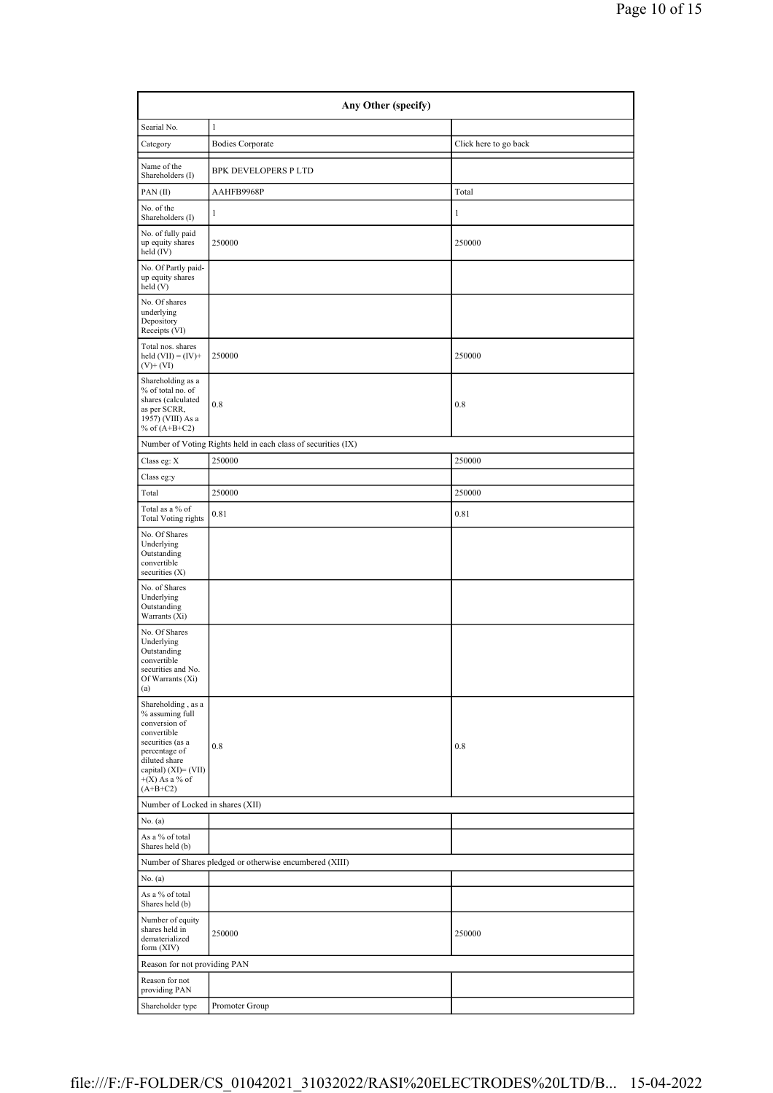| Any Other (specify)                                                                                                                                                                      |                                                               |                       |  |  |  |  |
|------------------------------------------------------------------------------------------------------------------------------------------------------------------------------------------|---------------------------------------------------------------|-----------------------|--|--|--|--|
| Searial No.                                                                                                                                                                              | $\mathbf{1}$                                                  |                       |  |  |  |  |
| Category                                                                                                                                                                                 | <b>Bodies Corporate</b>                                       | Click here to go back |  |  |  |  |
| Name of the<br>Shareholders (I)                                                                                                                                                          | <b>BPK DEVELOPERS PLTD</b>                                    |                       |  |  |  |  |
| PAN(II)                                                                                                                                                                                  | AAHFB9968P                                                    | Total                 |  |  |  |  |
| No. of the<br>Shareholders (I)                                                                                                                                                           | 1                                                             | 1                     |  |  |  |  |
| No. of fully paid<br>up equity shares<br>held (IV)                                                                                                                                       | 250000                                                        | 250000                |  |  |  |  |
| No. Of Partly paid-<br>up equity shares<br>held (V)                                                                                                                                      |                                                               |                       |  |  |  |  |
| No. Of shares<br>underlying<br>Depository<br>Receipts (VI)                                                                                                                               |                                                               |                       |  |  |  |  |
| Total nos. shares<br>held $(VII) = (IV) +$<br>$(V)+(VI)$                                                                                                                                 | 250000                                                        | 250000                |  |  |  |  |
| Shareholding as a<br>% of total no. of<br>shares (calculated<br>as per SCRR,<br>1957) (VIII) As a<br>% of $(A+B+C2)$                                                                     | 0.8                                                           | 0.8                   |  |  |  |  |
|                                                                                                                                                                                          | Number of Voting Rights held in each class of securities (IX) |                       |  |  |  |  |
| Class eg: X                                                                                                                                                                              | 250000                                                        | 250000                |  |  |  |  |
| Class eg:y                                                                                                                                                                               |                                                               |                       |  |  |  |  |
| Total                                                                                                                                                                                    | 250000                                                        | 250000                |  |  |  |  |
| Total as a % of<br><b>Total Voting rights</b>                                                                                                                                            | 0.81                                                          | 0.81                  |  |  |  |  |
| No. Of Shares<br>Underlying<br>Outstanding<br>convertible<br>securities (X)                                                                                                              |                                                               |                       |  |  |  |  |
| No. of Shares<br>Underlying<br>Outstanding<br>Warrants (Xi)                                                                                                                              |                                                               |                       |  |  |  |  |
| No. Of Shares<br>Underlying<br>Outstanding<br>convertible<br>securities and No.<br>Of Warrants (Xi)<br>(a)                                                                               |                                                               |                       |  |  |  |  |
| Shareholding, as a<br>% assuming full<br>conversion of<br>convertible<br>securities (as a<br>percentage of<br>diluted share<br>capital) $(XI) = (VII)$<br>$+(X)$ As a % of<br>$(A+B+C2)$ | 0.8                                                           | 0.8                   |  |  |  |  |
| Number of Locked in shares (XII)                                                                                                                                                         |                                                               |                       |  |  |  |  |
| No. (a)                                                                                                                                                                                  |                                                               |                       |  |  |  |  |
| As a % of total<br>Shares held (b)                                                                                                                                                       |                                                               |                       |  |  |  |  |
|                                                                                                                                                                                          | Number of Shares pledged or otherwise encumbered (XIII)       |                       |  |  |  |  |
| No. (a)<br>As a % of total<br>Shares held (b)                                                                                                                                            |                                                               |                       |  |  |  |  |
| Number of equity<br>shares held in<br>dematerialized<br>form (XIV)                                                                                                                       | 250000                                                        | 250000                |  |  |  |  |
| Reason for not providing PAN                                                                                                                                                             |                                                               |                       |  |  |  |  |
| Reason for not<br>providing PAN                                                                                                                                                          |                                                               |                       |  |  |  |  |
| Shareholder type                                                                                                                                                                         | Promoter Group                                                |                       |  |  |  |  |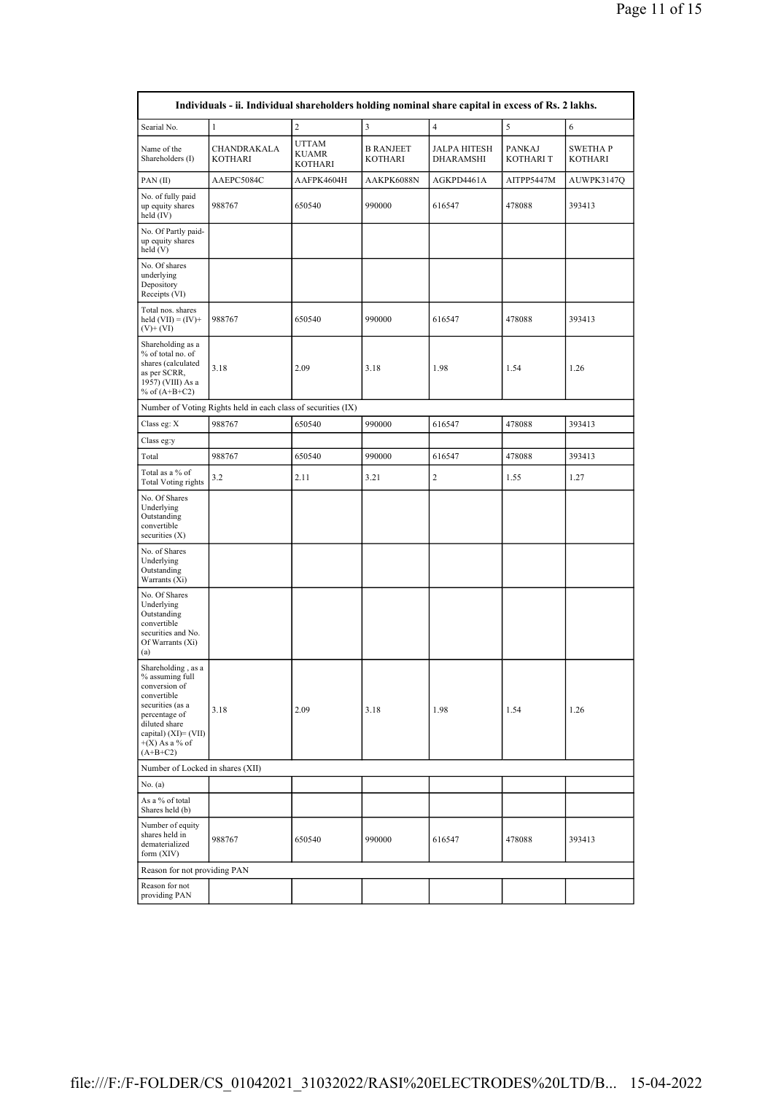|                                                                                                                                                                                          | Individuals - ii. Individual shareholders holding nominal share capital in excess of Rs. 2 lakhs. |                                         |                             |                                         |                           |                     |
|------------------------------------------------------------------------------------------------------------------------------------------------------------------------------------------|---------------------------------------------------------------------------------------------------|-----------------------------------------|-----------------------------|-----------------------------------------|---------------------------|---------------------|
| Searial No.                                                                                                                                                                              | $\mathbf{1}$                                                                                      | $\overline{c}$                          | 3                           | $\overline{4}$                          | $\sqrt{5}$                | 6                   |
| Name of the<br>Shareholders (I)                                                                                                                                                          | CHANDRAKALA<br>KOTHARI                                                                            | <b>UTTAM</b><br><b>KUAMR</b><br>KOTHARI | <b>B RANJEET</b><br>KOTHARI | <b>JALPA HITESH</b><br><b>DHARAMSHI</b> | PANKAJ<br><b>KOTHARIT</b> | SWETHA P<br>KOTHARI |
| PAN(II)                                                                                                                                                                                  | AAEPC5084C                                                                                        | AAFPK4604H                              | AAKPK6088N                  | AGKPD4461A                              | AITPP5447M                | AUWPK3147Q          |
| No. of fully paid<br>up equity shares<br>held $(IV)$                                                                                                                                     | 988767                                                                                            | 650540                                  | 990000                      | 616547                                  | 478088                    | 393413              |
| No. Of Partly paid-<br>up equity shares<br>held(V)                                                                                                                                       |                                                                                                   |                                         |                             |                                         |                           |                     |
| No. Of shares<br>underlying<br>Depository<br>Receipts (VI)                                                                                                                               |                                                                                                   |                                         |                             |                                         |                           |                     |
| Total nos. shares<br>held $(VII) = (IV) +$<br>$(V)$ + $(VI)$                                                                                                                             | 988767                                                                                            | 650540                                  | 990000                      | 616547                                  | 478088                    | 393413              |
| Shareholding as a<br>% of total no. of<br>shares (calculated<br>as per SCRR,<br>1957) (VIII) As a<br>% of $(A+B+C2)$                                                                     | 3.18                                                                                              | 2.09                                    | 3.18                        | 1.98                                    | 1.54                      | 1.26                |
|                                                                                                                                                                                          | Number of Voting Rights held in each class of securities (IX)                                     |                                         |                             |                                         |                           |                     |
| Class eg: X                                                                                                                                                                              | 988767                                                                                            | 650540                                  | 990000                      | 616547                                  | 478088                    | 393413              |
| Class eg:y                                                                                                                                                                               |                                                                                                   |                                         |                             |                                         |                           |                     |
| Total                                                                                                                                                                                    | 988767                                                                                            | 650540                                  | 990000                      | 616547                                  | 478088                    | 393413              |
| Total as a % of<br><b>Total Voting rights</b>                                                                                                                                            | 3.2                                                                                               | 2.11                                    | 3.21                        | $\overline{c}$                          | 1.55                      | 1.27                |
| No. Of Shares<br>Underlying<br>Outstanding<br>convertible<br>securities $(X)$                                                                                                            |                                                                                                   |                                         |                             |                                         |                           |                     |
| No. of Shares<br>Underlying<br>Outstanding<br>Warrants (Xi)                                                                                                                              |                                                                                                   |                                         |                             |                                         |                           |                     |
| No. Of Shares<br>Underlying<br>Outstanding<br>convertible<br>securities and No.<br>Of Warrants (Xi)<br>(a)                                                                               |                                                                                                   |                                         |                             |                                         |                           |                     |
| Shareholding, as a<br>% assuming full<br>conversion of<br>convertible<br>securities (as a<br>percentage of<br>diluted share<br>capital) $(XI) = (VII)$<br>$+(X)$ As a % of<br>$(A+B+C2)$ | 3.18                                                                                              | 2.09                                    | 3.18                        | 1.98                                    | 1.54                      | 1.26                |
| Number of Locked in shares (XII)                                                                                                                                                         |                                                                                                   |                                         |                             |                                         |                           |                     |
| No. (a)                                                                                                                                                                                  |                                                                                                   |                                         |                             |                                         |                           |                     |
| As a % of total<br>Shares held (b)                                                                                                                                                       |                                                                                                   |                                         |                             |                                         |                           |                     |
| Number of equity<br>shares held in<br>dematerialized<br>form $(XIV)$                                                                                                                     | 988767                                                                                            | 650540                                  | 990000                      | 616547                                  | 478088                    | 393413              |
| Reason for not providing PAN                                                                                                                                                             |                                                                                                   |                                         |                             |                                         |                           |                     |
| Reason for not<br>providing PAN                                                                                                                                                          |                                                                                                   |                                         |                             |                                         |                           |                     |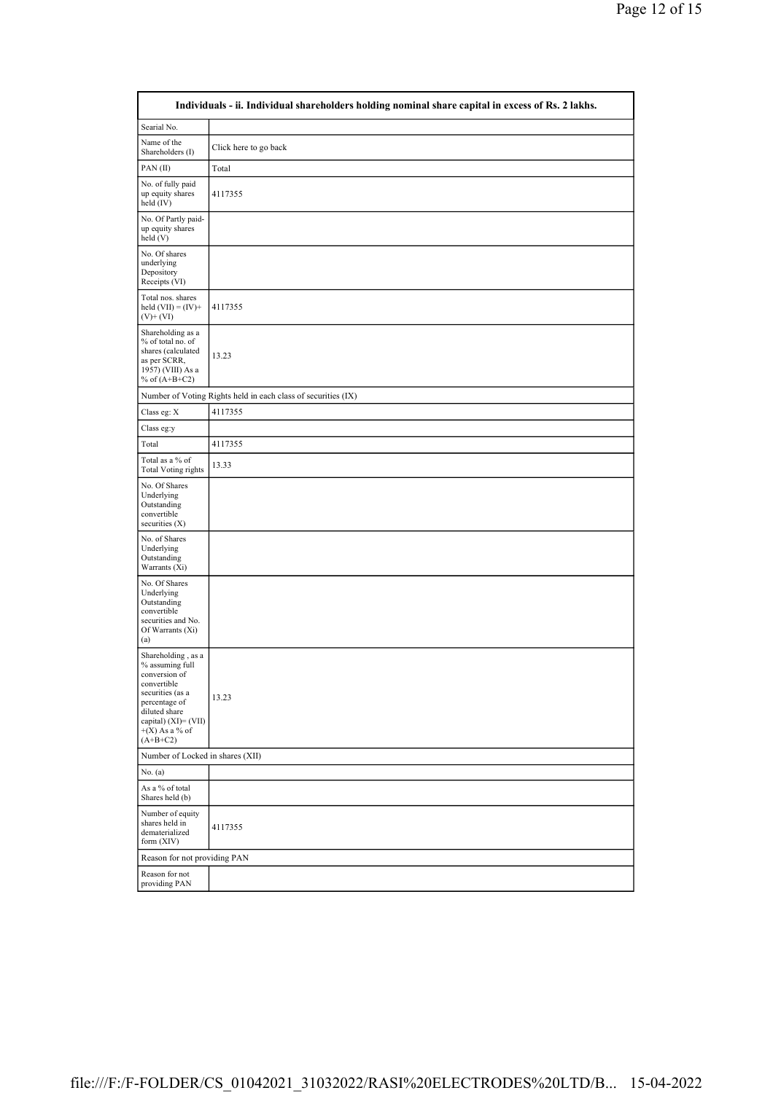|                                                                                                                                                                                          | Individuals - ii. Individual shareholders holding nominal share capital in excess of Rs. 2 lakhs. |
|------------------------------------------------------------------------------------------------------------------------------------------------------------------------------------------|---------------------------------------------------------------------------------------------------|
| Searial No.                                                                                                                                                                              |                                                                                                   |
| Name of the<br>Shareholders (I)                                                                                                                                                          | Click here to go back                                                                             |
| PAN(II)                                                                                                                                                                                  | Total                                                                                             |
| No. of fully paid<br>up equity shares<br>held $(IV)$                                                                                                                                     | 4117355                                                                                           |
| No. Of Partly paid-<br>up equity shares<br>held(V)                                                                                                                                       |                                                                                                   |
| No. Of shares<br>underlying<br>Depository<br>Receipts (VI)                                                                                                                               |                                                                                                   |
| Total nos. shares<br>held $(VII) = (IV) +$<br>$(V)+(VI)$                                                                                                                                 | 4117355                                                                                           |
| Shareholding as a<br>% of total no. of<br>shares (calculated<br>as per SCRR,<br>1957) (VIII) As a<br>% of $(A+B+C2)$                                                                     | 13.23                                                                                             |
|                                                                                                                                                                                          | Number of Voting Rights held in each class of securities (IX)                                     |
| Class eg: X                                                                                                                                                                              | 4117355                                                                                           |
| Class eg:y                                                                                                                                                                               |                                                                                                   |
| Total                                                                                                                                                                                    | 4117355                                                                                           |
| Total as a % of<br><b>Total Voting rights</b>                                                                                                                                            | 13.33                                                                                             |
| No. Of Shares<br>Underlying<br>Outstanding<br>convertible<br>securities $(X)$                                                                                                            |                                                                                                   |
| No. of Shares<br>Underlying<br>Outstanding<br>Warrants (Xi)                                                                                                                              |                                                                                                   |
| No. Of Shares<br>Underlying<br>Outstanding<br>convertible<br>securities and No.<br>Of Warrants (Xi)<br>(a)                                                                               |                                                                                                   |
| Shareholding, as a<br>% assuming full<br>conversion of<br>convertible<br>securities (as a<br>percentage of<br>diluted share<br>capital) $(XI) = (VII)$<br>$+(X)$ As a % of<br>$(A+B+C2)$ | 13.23                                                                                             |
| Number of Locked in shares (XII)                                                                                                                                                         |                                                                                                   |
| No. (a)                                                                                                                                                                                  |                                                                                                   |
| As a % of total<br>Shares held (b)                                                                                                                                                       |                                                                                                   |
| Number of equity<br>shares held in<br>dematerialized<br>form (XIV)                                                                                                                       | 4117355                                                                                           |
| Reason for not providing PAN                                                                                                                                                             |                                                                                                   |
| Reason for not<br>providing PAN                                                                                                                                                          |                                                                                                   |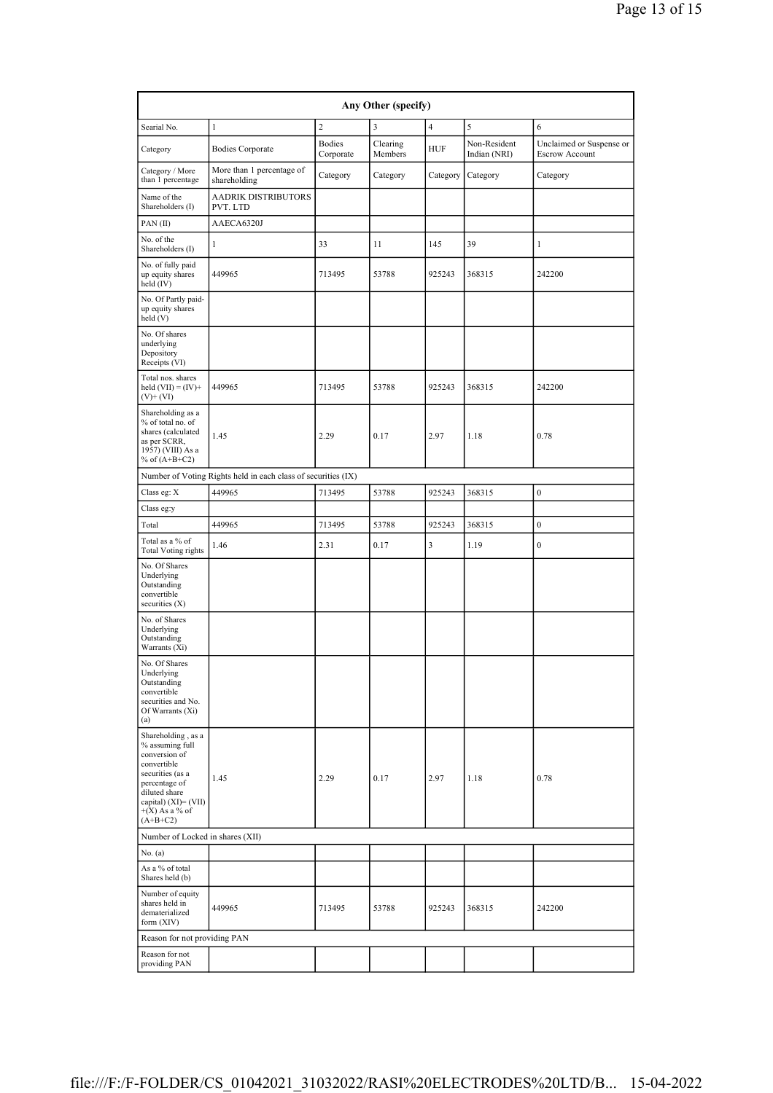| Any Other (specify)                                                                                                                                                                      |                                                               |                            |                     |                |                              |                                                   |  |  |  |  |  |
|------------------------------------------------------------------------------------------------------------------------------------------------------------------------------------------|---------------------------------------------------------------|----------------------------|---------------------|----------------|------------------------------|---------------------------------------------------|--|--|--|--|--|
| Searial No.                                                                                                                                                                              | $\mathbf{1}$                                                  | $\overline{c}$             | 3                   | $\overline{4}$ | 5                            | 6                                                 |  |  |  |  |  |
| Category                                                                                                                                                                                 | <b>Bodies Corporate</b>                                       | <b>Bodies</b><br>Corporate | Clearing<br>Members | <b>HUF</b>     | Non-Resident<br>Indian (NRI) | Unclaimed or Suspense or<br><b>Escrow Account</b> |  |  |  |  |  |
| Category / More<br>than 1 percentage                                                                                                                                                     | More than 1 percentage of<br>shareholding                     | Category                   | Category            | Category       | Category                     | Category                                          |  |  |  |  |  |
| Name of the<br>Shareholders (I)                                                                                                                                                          | AADRIK DISTRIBUTORS<br>PVT. LTD                               |                            |                     |                |                              |                                                   |  |  |  |  |  |
| PAN $(II)$                                                                                                                                                                               | AAECA6320J                                                    |                            |                     |                |                              |                                                   |  |  |  |  |  |
| No. of the<br>Shareholders (I)                                                                                                                                                           | $\mathbf{1}$                                                  | 33                         | 11                  | 145            | 39                           | $\mathbf{1}$                                      |  |  |  |  |  |
| No. of fully paid<br>up equity shares<br>held (IV)                                                                                                                                       | 449965                                                        | 713495                     | 53788               | 925243         | 368315                       | 242200                                            |  |  |  |  |  |
| No. Of Partly paid-<br>up equity shares<br>held (V)                                                                                                                                      |                                                               |                            |                     |                |                              |                                                   |  |  |  |  |  |
| No. Of shares<br>underlying<br>Depository<br>Receipts (VI)                                                                                                                               |                                                               |                            |                     |                |                              |                                                   |  |  |  |  |  |
| Total nos. shares<br>held $(VII) = (IV) +$<br>$(V)+(VI)$                                                                                                                                 | 449965                                                        | 713495                     | 53788               | 925243         | 368315                       | 242200                                            |  |  |  |  |  |
| Shareholding as a<br>% of total no. of<br>shares (calculated<br>as per SCRR,<br>1957) (VIII) As a<br>% of $(A+B+C2)$                                                                     | 1.45                                                          | 2.29                       | 0.17                | 2.97           | 1.18                         | 0.78                                              |  |  |  |  |  |
|                                                                                                                                                                                          | Number of Voting Rights held in each class of securities (IX) |                            |                     |                |                              |                                                   |  |  |  |  |  |
| Class eg: X                                                                                                                                                                              | 449965                                                        | 713495                     | 53788               | 925243         | 368315                       | $\mathbf{0}$                                      |  |  |  |  |  |
| Class eg:y                                                                                                                                                                               |                                                               |                            |                     |                |                              |                                                   |  |  |  |  |  |
| Total                                                                                                                                                                                    | 449965                                                        | 713495                     | 53788               | 925243         | 368315                       | $\boldsymbol{0}$                                  |  |  |  |  |  |
| Total as a % of<br><b>Total Voting rights</b>                                                                                                                                            | 1.46                                                          | 2.31                       | 0.17                | 3              | 1.19                         | $\overline{0}$                                    |  |  |  |  |  |
| No. Of Shares<br>Underlying<br>Outstanding<br>convertible<br>securities (X)                                                                                                              |                                                               |                            |                     |                |                              |                                                   |  |  |  |  |  |
| No. of Shares<br>Underlying<br>Outstanding<br>Warrants (Xi)                                                                                                                              |                                                               |                            |                     |                |                              |                                                   |  |  |  |  |  |
| No. Of Shares<br>Underlying<br>Outstanding<br>convertible<br>securities and No.<br>Of Warrants (Xi)<br>(a)                                                                               |                                                               |                            |                     |                |                              |                                                   |  |  |  |  |  |
| Shareholding, as a<br>% assuming full<br>conversion of<br>convertible<br>securities (as a<br>percentage of<br>diluted share<br>capital) $(XI) = (VII)$<br>$+(X)$ As a % of<br>$(A+B+C2)$ | 1.45                                                          | 2.29                       | 0.17                | 2.97           | 1.18                         | 0.78                                              |  |  |  |  |  |
| Number of Locked in shares (XII)                                                                                                                                                         |                                                               |                            |                     |                |                              |                                                   |  |  |  |  |  |
| No. (a)                                                                                                                                                                                  |                                                               |                            |                     |                |                              |                                                   |  |  |  |  |  |
| As a % of total<br>Shares held (b)                                                                                                                                                       |                                                               |                            |                     |                |                              |                                                   |  |  |  |  |  |
| Number of equity<br>shares held in<br>dematerialized<br>form $(XIV)$                                                                                                                     | 449965                                                        | 713495                     | 53788               | 925243         | 368315                       | 242200                                            |  |  |  |  |  |
| Reason for not providing PAN                                                                                                                                                             |                                                               |                            |                     |                |                              |                                                   |  |  |  |  |  |
| Reason for not<br>providing PAN                                                                                                                                                          |                                                               |                            |                     |                |                              |                                                   |  |  |  |  |  |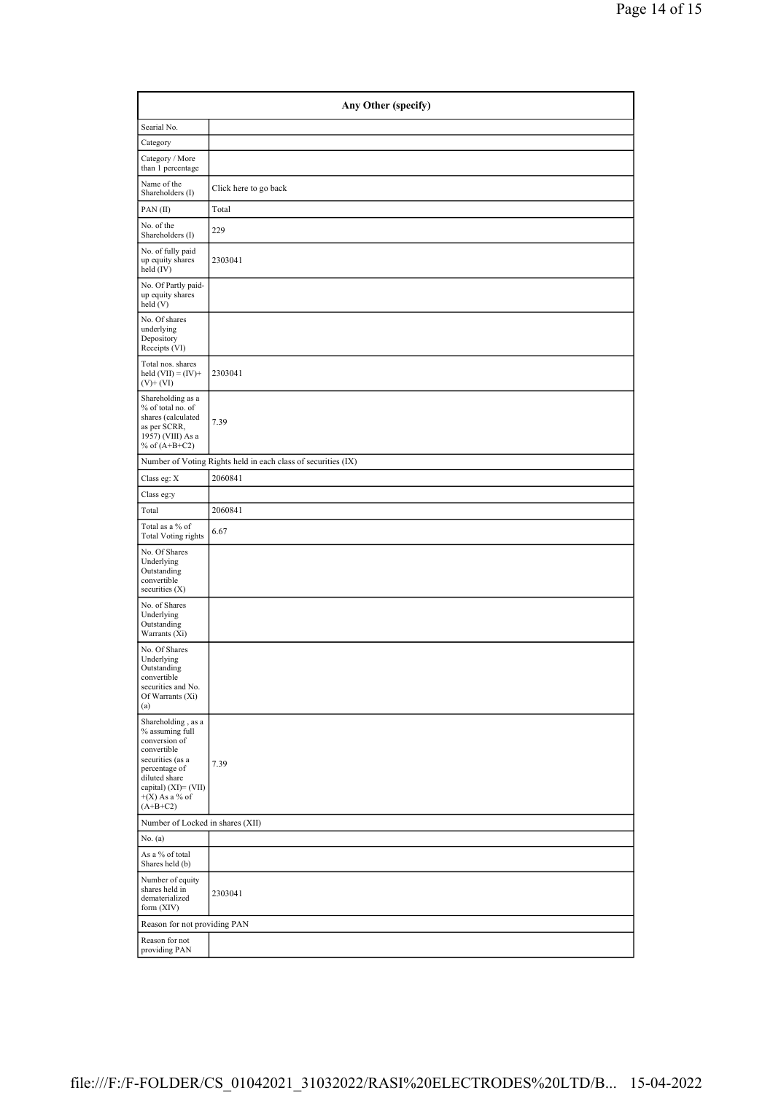| Any Other (specify)                                                                                                                                                                   |                                                               |  |  |  |  |  |  |
|---------------------------------------------------------------------------------------------------------------------------------------------------------------------------------------|---------------------------------------------------------------|--|--|--|--|--|--|
| Searial No.                                                                                                                                                                           |                                                               |  |  |  |  |  |  |
| Category                                                                                                                                                                              |                                                               |  |  |  |  |  |  |
| Category / More<br>than 1 percentage                                                                                                                                                  |                                                               |  |  |  |  |  |  |
| Name of the<br>Shareholders (I)                                                                                                                                                       | Click here to go back                                         |  |  |  |  |  |  |
| PAN $(II)$                                                                                                                                                                            | Total                                                         |  |  |  |  |  |  |
| No. of the<br>Shareholders (I)                                                                                                                                                        | 229                                                           |  |  |  |  |  |  |
| No. of fully paid<br>up equity shares<br>held (IV)                                                                                                                                    | 2303041                                                       |  |  |  |  |  |  |
| No. Of Partly paid-<br>up equity shares<br>held (V)                                                                                                                                   |                                                               |  |  |  |  |  |  |
| No. Of shares<br>underlying<br>Depository<br>Receipts (VI)                                                                                                                            |                                                               |  |  |  |  |  |  |
| Total nos. shares<br>held $(VII) = (IV) +$<br>$(V)$ + $(VI)$                                                                                                                          | 2303041                                                       |  |  |  |  |  |  |
| Shareholding as a<br>% of total no. of<br>shares (calculated<br>as per SCRR,<br>1957) (VIII) As a<br>% of $(A+B+C2)$                                                                  | 7.39                                                          |  |  |  |  |  |  |
|                                                                                                                                                                                       | Number of Voting Rights held in each class of securities (IX) |  |  |  |  |  |  |
| Class eg: X                                                                                                                                                                           | 2060841                                                       |  |  |  |  |  |  |
| Class eg:y                                                                                                                                                                            |                                                               |  |  |  |  |  |  |
| Total                                                                                                                                                                                 | 2060841                                                       |  |  |  |  |  |  |
| Total as a % of<br><b>Total Voting rights</b>                                                                                                                                         | 6.67                                                          |  |  |  |  |  |  |
| No. Of Shares<br>Underlying<br>Outstanding<br>convertible<br>securities $(X)$                                                                                                         |                                                               |  |  |  |  |  |  |
| No. of Shares<br>Underlying<br>Outstanding<br>Warrants (Xi)                                                                                                                           |                                                               |  |  |  |  |  |  |
| No. Of Shares<br>Underlying<br>Outstanding<br>convertible<br>securities and No.<br>Of Warrants (Xi)<br>(a)                                                                            |                                                               |  |  |  |  |  |  |
| Shareholding, as a<br>% assuming full<br>conversion of<br>convertible<br>securities (as a<br>percentage of<br>diluted share<br>capital) (XI)= (VII)<br>$+(X)$ As a % of<br>$(A+B+C2)$ | 7.39                                                          |  |  |  |  |  |  |
| Number of Locked in shares (XII)                                                                                                                                                      |                                                               |  |  |  |  |  |  |
| No. (a)                                                                                                                                                                               |                                                               |  |  |  |  |  |  |
| As a % of total<br>Shares held (b)                                                                                                                                                    |                                                               |  |  |  |  |  |  |
| Number of equity<br>shares held in<br>dematerialized<br>form (XIV)                                                                                                                    | 2303041                                                       |  |  |  |  |  |  |
| Reason for not providing PAN                                                                                                                                                          |                                                               |  |  |  |  |  |  |
| Reason for not<br>providing PAN                                                                                                                                                       |                                                               |  |  |  |  |  |  |